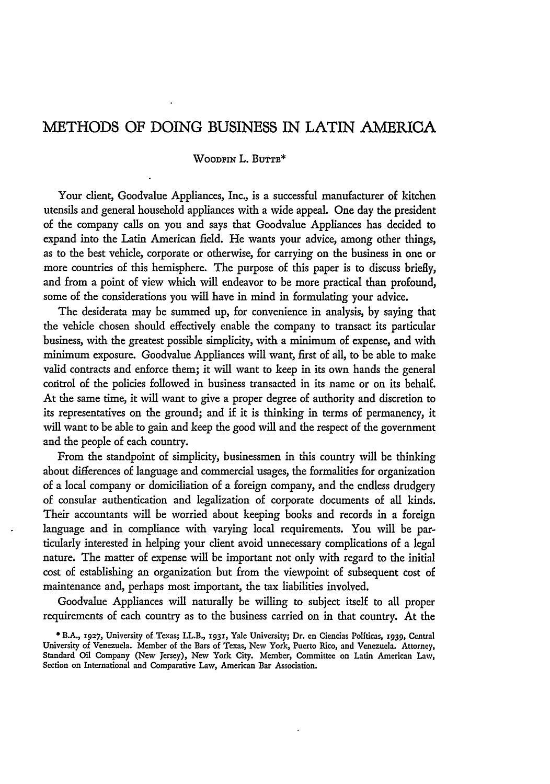# **METHODS** OF DOING **BUSINESS** IN LATIN AMERICA

#### WOODFIN L. BUTTE\*

Your client, Goodvalue Appliances, Inc., is a successful manufacturer of kitchen utensils and general household appliances with a wide appeal. One day the president of the company calls on you and says that Goodvalue Appliances has decided to expand into the Latin American field. He wants your advice, among other things, as to the best vehicle, corporate or otherwise, for carrying on the business in one or more countries of this hemisphere. The purpose of this paper is to discuss briefly, and from a point of view which will endeavor to be more practical than profound, some of the considerations you will have in mind in formulating your advice.

The desiderata may be summed up, for convenience in analysis, by saying that the vehicle chosen should effectively enable the company to transact its particular business, with the greatest possible simplicity, with a minimum of expense, and with minimum exposure. Goodvalue Appliances will want, first of all, to be able to make valid contracts and enforce them; it will want to keep in its own hands the general control of the policies followed in business transacted in its name or on its behalf. At the same time, it will want to give a proper degree of authority and discretion to its representatives on the ground; and if it is thinking in terms of permanency, it will want to be able to gain and keep the good will and the respect of the government and the people of each country.

From the standpoint of simplicity, businessmen in this country will be thinking about differences of language and commercial usages, the formalities for organization of a local company or domiciliation of a foreign company, and the endless drudgery of consular authentication and legalization of corporate documents of all kinds. Their accountants will be worried about keeping books and records in a foreign language and in compliance with varying local requirements. You will be particularly interested in helping your client avoid unnecessary complications of a legal nature. The matter of expense will be important not only with regard to the initial cost of establishing an organization but from the viewpoint of subsequent cost of maintenance and, perhaps most important, the tax liabilities involved.

Goodvalue Appliances will naturally be willing to subject itself to all proper requirements of each country as to the business carried on in that country. At the

**<sup>\*</sup>B.A., 1927,** University **of Texas; LL.B., 1931,** Yale University; **Dr. en** Ciencias **Politicas, 1939,** Central University of Venezuela. Member of the Bars of Texas, New York, Puerto Rico, **and** Venezuela. Attorney, Standard Oil Company (New Jersey), New York City. Member, Committee **on** Latin American Law, Section on International and Comparative Law, American Bar Association.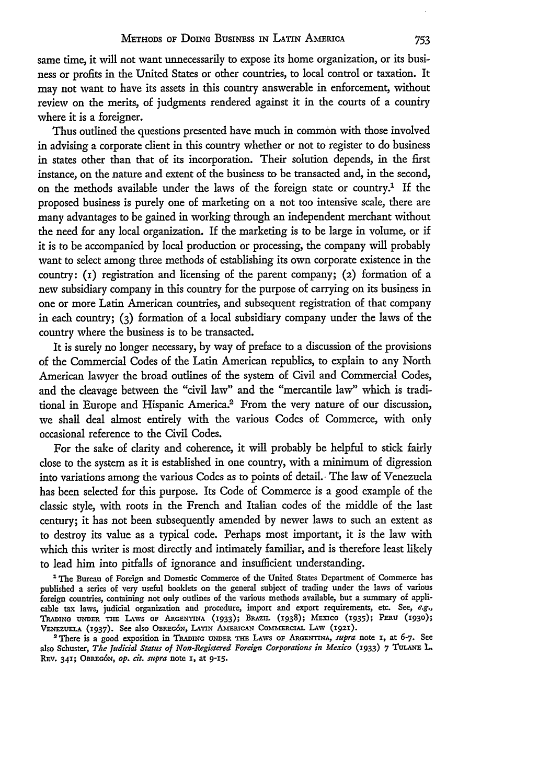same time, it will not want unnecessarily to expose its home organization, or its business or profits in the United States or other countries, to local control or taxation. It may not want to have its assets in this country answerable in enforcement, without review on the merits, of judgments rendered against it in the courts of a couniry where it is a foreigner.

Thus outlined the questions presented have much in common with those involved in advising a corporate client in this country whether or not to register to do business in states other than that of its incorporation. Their solution depends, in the first instance, on the nature and extent of the business to be transacted and, in the second, on the methods available under the laws of the foreign state or country.' If the proposed business is purely one of marketing on a not too intensive scale, there are many advantages to be gained in working through an independent merchant without the need for any local organization. If the marketing is to be large in volume, or if it is to be accompanied by local production or processing, the company will probably want to select among three methods of establishing its own corporate existence in the country: **(I)** registration and licensing of the parent company; (2) formation of a new subsidiary company in this country for the purpose of carrying on its business in one or more Latin American countries, and subsequent registration of that company in each country; (3) formation of a local subsidiary company under the laws of the country where the business is to be transacted.

It is surely no longer necessary, by way of preface to a discussion of the provisions of the Commercial Codes of the Latin American republics, to explain to any North American lawyer the broad outlines of the system of Civil and Commercial Codes, and the cleavage between the "civil law" and the "mercantile law" which is traditional in Europe and Hispanic America.<sup>2</sup> From the very nature of our discussion, we shall deal almost entirely with the various Codes of Commerce, with only occasional reference to the Civil Codes.

For the sake of clarity and coherence, it will probably be helpful to stick fairly close to the system as it is established in one country, with a minimum of digression into variations among the various Codes as to points of detail. The law of Venezuela has been selected for this purpose. Its Code of Commerce is a good example of the classic style, with roots in the French and Italian codes of the middle of the last century; it has not been subsequently amended by newer laws to such an extent as to destroy its value as a typical code. Perhaps most important, it is the law with which this writer is most directly and intimately familiar, and is therefore least likely to lead him into pitfalls of ignorance and insufficient understanding.

<sup>1</sup> The Bureau of Foreign and Domestic Commerce of the United States Department of Commerce has published a series of very useful booklets on the general subject of trading under the laws of various foreign countries, containing not only outlines of the various methods available, but a summary of applicable tax laws, judicial organization and procedure, import and export requirements, etc. See, *e.g.,* T aDINO **UNDER THE LAws** oF **ARGENTINA (1933);** BRAzIL **(1938); MEXico (1935);** PEU **(1930);** VENEZUELA (1937). See also OBREGÓN, LATIN AMERICAN COMMERCIAL LAW (1921).

'There is a good exposition in **TRADING UNDER TE LAWS OF ARGENTINA,** *supra* note **I,** at **6-7.** See also Schuster, *The Judicial Status of Non-Registered Foreign Corporations in Mexico* **(933) 7 TUIN.E L** REV. 341; OBREGÓN, op. *cit. supra* note 1, at 9-15.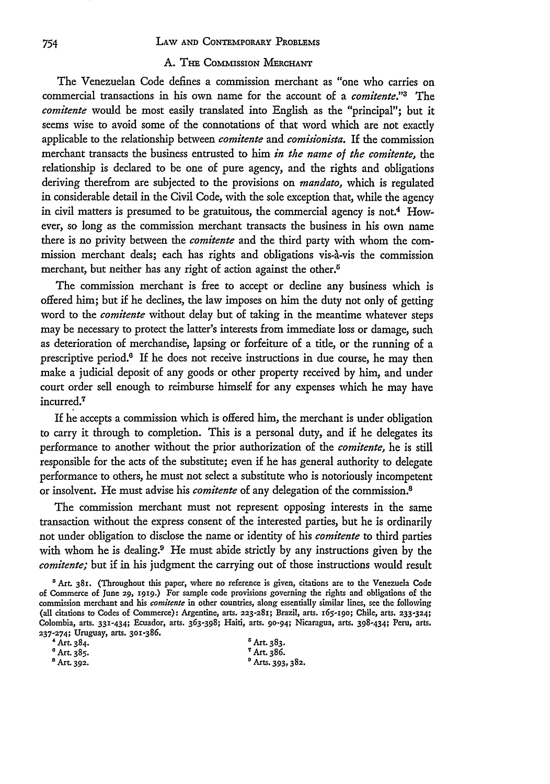#### LAW **AND** CONTEMPORARY PROBLEMS

### A. THE COMMISSION MERCHANT

The Venezuelan Code defines a commission merchant as "one who carries on commercial transactions in his own name for the account of a *comitente*."<sup>3</sup> The *comitente* would be most easily translated into English as the "principal"; but it seems wise to avoid some of the connotations of that word which are not exactly applicable to the relationship between *comitente and comisionista.* If the commission merchant transacts the business entrusted to him *in the name of the comitente, the* relationship is declared to be one of pure agency, and the rights and obligations deriving therefrom are subjected to the provisions on *mandato,* which is regulated in considerable detail in the Civil Code, with the sole exception that, while the agency in civil matters is presumed to be gratuitous, the commercial agency is not.<sup>4</sup> However, so long as the commission merchant transacts the business in his own name there is no privity between the *comitente* and the third party with whom the commission merchant deals; each has rights and obligations vis-a'-vis the commission merchant, but neither has any right of action against the other.<sup>5</sup>

The commission merchant is free to accept or decline any business which is offered him; but if he declines, the law imposes on him the duty not only of getting word to the *comitente* without delay but of taking in the meantime whatever steps may be necessary to protect the latter's interests from immediate loss or damage, such as deterioration of merchandise, lapsing or forfeiture of a tile, or the running of a prescriptive period.6 If he does not receive instructions in due course, he may then make a judicial deposit of any goods or other property received by him, and under court order sell enough to reimburse himself for any expenses which he may have incurred.<sup>7</sup>

If he accepts a commission which is offered him, the merchant is under obligation to carry it through to completion. This is a personal duty, and if he delegates its performance to another without the prior authorization of the *comitente,* he is still responsible for the acts of the substitute; even if he has general authority to delegate performance to others, he must not select a substitute who is notoriously incompetent or insolvent. He must advise his *comitente* of any delegation of the commission.,

The commission merchant must not represent opposing interests in the same transaction without the express consent of the interested parties, but he is ordinarily not under obligation to disclose the name or identity of his *comitente* to third parties with whom he is dealing.<sup>9</sup> He must abide strictly by any instructions given by the *comitente;* but if in his judgment the carrying out of those instructions would result

**<sup>&#</sup>x27;** Art. **381.** (Throughout this paper, where no reference is given, citations are to the Venezuela Code of Commerce **of** June **29, i959.)** For sample code provisions governing the rights and obligations of **the** commission merchant and **his** *comitente* in other countries, along essentially similar lines, see the following (all citations to Codes of Commerce): Argentine, arts. **223-281;** Brazil, arts. *i65-i9o;* Chile, arts. 233-324; Colombia, arts. 331-434; Ecuador, arts. **363-398;** Haiti, arts. **90-94;** Nicaragua, arts. 398-434; Peru, arts. **237-274;** Uruguay, arts. 3ox-386.

**<sup>&</sup>quot;** Art. 384. = Art. **383.** <sup>8</sup> Art. 385. <sup>7</sup> Art. 386. <sup>7</sup> Art. 393. <sup>8</sup> Art. 392. **'** Art. **392.** "Arts. **393, 382.**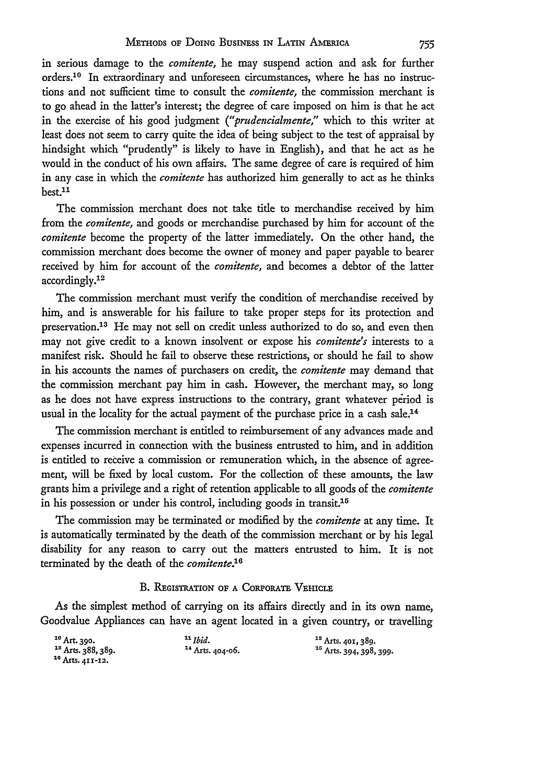in serious damage to the *comitente,* he may suspend action and ask for further orders.<sup>10</sup> In extraordinary and unforeseen circumstances, where he has no instructions and not sufficient time to consult the *comitente,* the commission merchant is to go ahead in the latter's interest; the degree of care imposed on him is that he act in the exercise of his good judgment *("prudencialmente,"* which to this writer at least does not seem to carry quite the idea of being subject to the test of appraisal by hindsight which "prudently" is likely to have in English), and that he act as he would in the conduct of his own affairs. The same degree of care is required of him in any case in which the *comitente* has authorized him generally to act as he thinks  $hest.<sup>11</sup>$ 

The commission merchant does not take tide to merchandise received by him from the *comitente,* and goods or merchandise purchased by him for account of the *comitente* become the property of the latter immediately. On the other hand, the commission merchant does become the owner of money and paper payable to bearer received by him for account of the *comitente,* and becomes a debtor of the latter accordingly.<sup>12</sup>

The commission merchant must verify the condition of merchandise received by him, and is answerable for his failure to take proper steps for its protection and preservation.<sup>13</sup> He may not sell on credit unless authorized to do so, and even then may not give credit to a known insolvent or expose his *comitente's* interests to a manifest risk. Should he fail to observe these restrictions, or should he fail to show in his accounts the names of purchasers on credit, the *comitente* may demand that the commission merchant pay him in cash. However, the merchant may, so long as he does not have express instructions to the contrary, grant whatever period is usual in the locality for the actual payment of the purchase price in a cash sale.<sup>14</sup>

The commission merchant is entitled to reimbursement of any advances made and expenses incurred in connection with the business entrusted to him, and in addition is entitled to receive a commission or remuneration which, in the absence of agreement, will be fixed by local custom. For the collection of these amounts, the law grants him a privilege and a right of retention applicable to all goods of the *comitente* in his possession or under his control, including goods in transit.<sup>15</sup>

The commission may be terminated or modified by the *comitente* at any time. It is automatically terminated by the death of the commission merchant or by his legal disability for any reason to carry out the matters entrusted to him. It is not terminated by the death of the *comitente.i'*

### **B. REGISTRATION OF A CORPORATE VEHICLE**

As the simplest method of carrying on its affairs directly and in its own name, Goodvalue Appliances can have an agent located in a given country, or travelling

| $10$ Art. 390.                | $11$ Ibid.                  | $12$ Arts. 401, 389.               |
|-------------------------------|-----------------------------|------------------------------------|
| <sup>18</sup> Arts. 388, 389. | <sup>14</sup> Arts. 404-06. | <sup>15</sup> Arts. 394, 398, 399. |
| <sup>10</sup> Arts. 411-12.   |                             |                                    |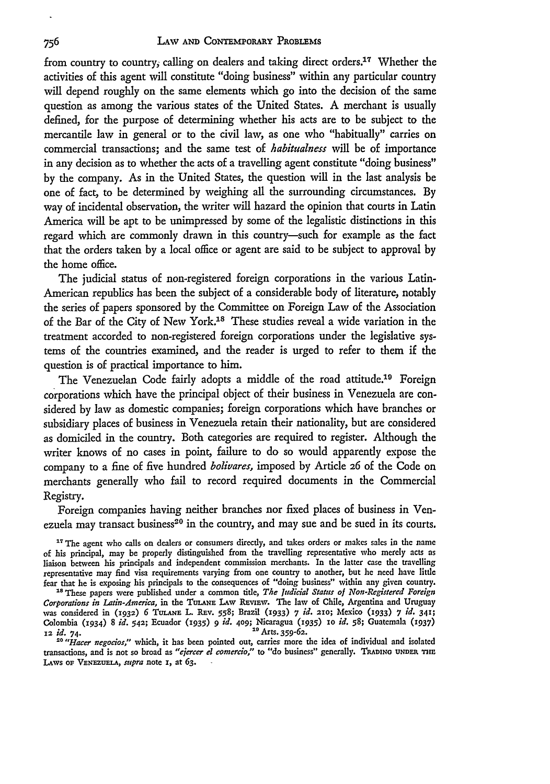from country to country, calling on dealers and taking direct orders.<sup>17</sup> Whether the activities of this agent will constitute "doing business" within any particular country will depend roughly on the same elements which go into the decision of the same question as among the various states of the United States. A merchant is usually defined, for the purpose of determining whether his acts are to be subject to the mercantile law in general or to the civil law, as one who "habitually" carries on commercial transactions; and the same test of *habitualness* will be of importance in any decision as to whether the acts of a travelling agent constitute "doing business" by the company. As in the United States, the question will in the last analysis be one of fact, to be determined by weighing all the surrounding circumstances. By way of incidental observation, the writer will hazard the opinion that courts in Latin America will be apt to be unimpressed by some of the legalistic distinctions in this regard which are commonly drawn in this country-such for example as the fact that the orders taken by a local office or agent are said to be subject to approval by the home office.

The judicial status of non-registered foreign corporations in the various Latin-American republics has been the subject of a considerable body of literature, notably the series of papers sponsored by the Committee on Foreign Law of the Association of the Bar of the City of New York.<sup>18</sup> These studies reveal a wide variation in the treatment accorded to non-registered foreign corporations under the legislative systems of the countries examined, and the reader is urged to refer to them if the question is of practical importance to him.

The Venezuelan Code fairly adopts a middle of the road attitude.'9 Foreign corporations which have the principal object of their business in Venezuela are considered by law as domestic companies; foreign corporations which have branches or subsidiary places of business in Venezuela retain their nationality, but are considered as domiciled in the country. Both categories are required to register. Although the writer knows of no cases in point, failure to do so would apparently expose the company to a fine of five hundred *boliuares,* imposed by Article **26** of the Code on merchants generally who fail to record required documents in the Commercial Registry.

Foreign companies having neither branches nor fixed places of business in Venezuela may transact business<sup>20</sup> in the country, and may sue and be sued in its courts.

<sup>17</sup> The agent who calls on dealers or consumers directly, and takes orders or makes sales in the name of his principal, may be properly distinguished from the travelling representative who merely acts as liaison between his principals and independent commission merchants. In the latter case the travelling representative may find visa requirements varying from one country to another, but he need have little fear that he is exposing his principals to the consequences of "doing business" within any given country.

<sup>18</sup> These papers were published under a common title, *The Judicial Status of Non-Registered Foreign Corporations in Latin-America,* in the **TuLANE LAw** REviEw. The law of Chile, Argentina and Uruguay was considered in **(1932)** *6* **TuLAE** L. Rav. **558;** Brazil **(1933)** 7 *id.* 21o; Mexico **(1933) 7** *id. 341;* Colombia (1934) 8 *id.* 542; Ecuador **(1935)** *9 id.* 409; Nicaragua (935) *o id.* 58; Guatemala (937) **12** *id. 74.* **"** Arts. **359-62.**

**20** *"Hacer negocios,"* which, it has been pointed out, carries more the idea of individual and isolated transactions, and is not so broad as "ejercer el comercio," to "do business" generally. TRADING UNDER THE **LAws oF VENEZUFLA,** *supra* note **i, at** *63.*

 $\ddot{\phantom{a}}$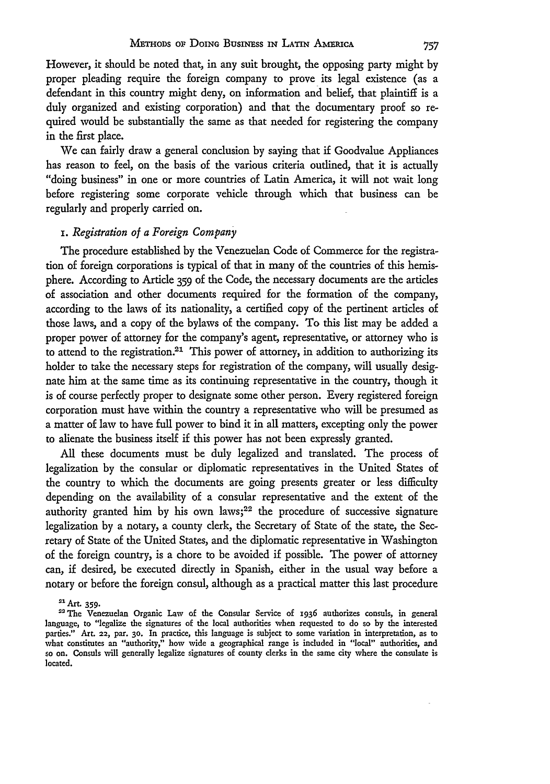However, it should be noted that, in any suit brought, the opposing party might by proper pleading require the foreign company to prove its legal existence (as a defendant in this country might deny, on information and belief, that plaintiff is a duly organized and existing corporation) and that the documentary proof so required would be substantially the same as that needed for registering the company in the first place.

We can fairly draw a general conclusion by saying that if Goodvalue Appliances has reason to feel, on the basis of the various criteria outlined, that it is actually "doing business" in one or more countries of Latin America, it will not wait long before registering some corporate vehicle through which that business can be regularly and properly carried on.

### *I. Registration of a Foreign Company*

The procedure established by the Venezuelan Code of Commerce for the registration of foreign corporations is typical of that in many of the countries of this hemisphere. According to Article 359 of the Code, the necessary documents are the articles of association and other documents required for the formation of the company, according to the laws of its nationality, a certified copy of the pertinent articles of those laws, and a copy of the bylaws of the company. To this list may be added a proper power of attorney for the company's agent, representative, or attorney who is to attend to the registration. $21$  This power of attorney, in addition to authorizing its holder to take the necessary steps for registration of the company, will usually designate him at the same time as its continuing representative in the country, though it is of course perfectly proper to designate some other person. Every registered foreign corporation must have within the country a representative who will be presumed as a matter of law to have full power to bind it in all matters, excepting only the power to alienate the business itself if this power has not been expressly granted.

**All** these documents must be duly legalized and translated. The process of legalization by the consular or diplomatic representatives in the United States of the country to which the documents are going presents greater or less difficulty depending on the availability of a consular representative and the extent of the authority granted him by his own laws;<sup>22</sup> the procedure of successive signature legalization by a notary, a county clerk, the Secretary of State of the state, the Secretary of State of the United States, and the diplomatic representative in Washington of the foreign country, is a chore to be avoided if possible. The power of attorney can, if desired, be executed directly in Spanish, either in the usual way before a notary or before the foreign consul, although as a practical matter this last procedure

' **Art. 359. 55**

**The** Venezuelan Organic Law **of** the Consular Service of **1936** authorizes consuls, in general language, to "legalize the signatures of the local authorities when requested to do so **by** the interested parties." Art. **22,** par. **30.** In practice, this language is subject to some variation in interpretation, as to what constitutes an "authority," how wide a geographical range is included in "local" authorities, and so on. Consuls will generally legalize signatures of county clerks in the same city where the consulate is located.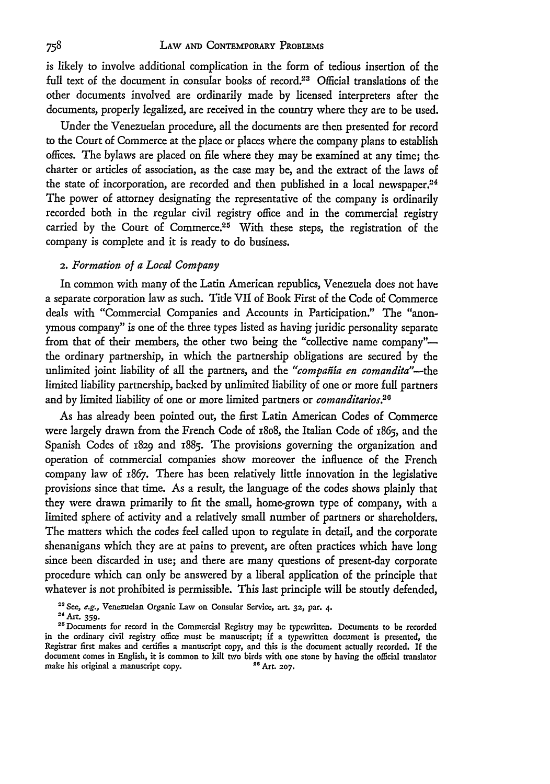is likely to involve additional complication in the form of tedious insertion of the full text of the document in consular books of record.<sup>23</sup> Official translations of the other documents involved are ordinarily made by licensed interpreters after the documents, properly legalized, are received in the country where they are to be used.

Under the Venezuelan procedure, all the documents are then presented for record to the Court of Commerce at the place or places where the company plans to establish offices. The bylaws are placed on file where they may be examined at any time; thecharter or articles of association, as the case may be, and the extract of the laws of the state of incorporation, are recorded and then published in a local newspaper.<sup>24</sup> The power of attorney designating the representative of the company is ordinarily recorded both in the regular civil registry office and in the commercial registry carried by the Court of Commerce.<sup>25</sup> With these steps, the registration of the company is complete and it is ready to do business.

### 2. *Formation of a Local Company*

In common with many of the Latin American republics, Venezuela does not have a separate corporation law as such. Title VII of Book First of the Code of Commerce deals with "Commercial Companies and Accounts in Participation." The "anonymous company" is one of the three types listed as having juridic personality separate from that of their members, the other two being the "collective name company"the ordinary partnership, in which the partnership obligations are secured by the unlimited joint liability of all the partners, and the *"compagia en comandita"--the* limited liability partnership, backed by unlimited liability of one or more full partners and by limited liability of one or more limited partners or *comanditarios.20*

As has already been pointed out, the first Latin American Codes of Commerce were largely drawn from the French Code of i8o8, the Italian Code of 1865, and the Spanish Codes of **1829** and *1885.* The provisions governing the organization and operation of commercial companies show moreover the influence of the French company law of 1867. There has been relatively little innovation in the legislative provisions since that time. As a result, the language of the codes shows plainly that they were drawn primarily to fit the small, home-grown type of company, with a limited sphere of activity and a relatively small number of partners or shareholders. The matters which the codes feel called upon to regulate in detail, and the corporate shenanigans which they are at pains to prevent, are often practices which have long since been discarded in use; and there are many questions of present-day corporate procedure which can only be answered by a liberal application of the principle that whatever is not prohibited is permissible. This last principle will be stoutly defended,

**<sup>&</sup>quot;** See, e.g., Venezuelan Organic **Law on** Consular Service, art. **32,** par. **4.**

**<sup>&</sup>quot;Art. 359.** <sup>2</sup> Documents **for** record **in the** Commercial Registry may be typewritten. Documents **to be** recorded in the ordinary civil registry office must be manuscript; if a typewritten document is presented, the Registrar **first** makes and certifies a manuscript **copy,** and this is the document actually recorded. **If** the document comes in English, it **is** common to kill two birds with **one** stone **by** having **the** official translator make his original a manuscript copy. <sup>26</sup> Art. 207.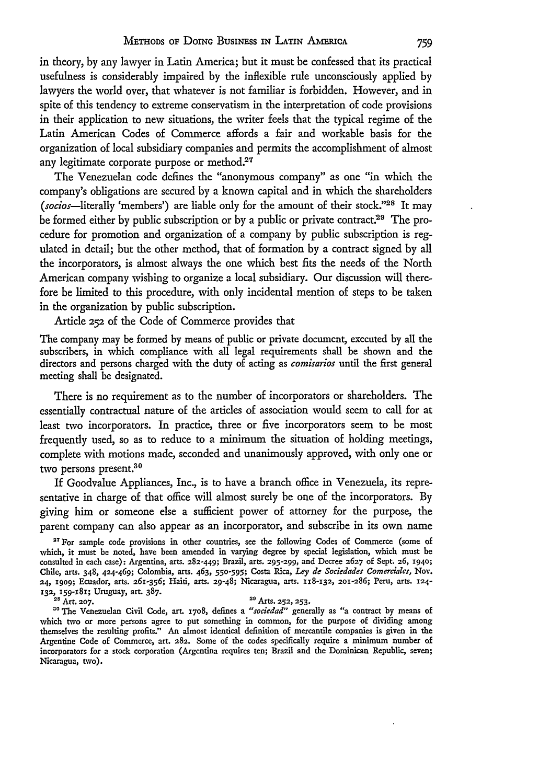in theory, by any lawyer in Latin America; but it must be confessed that its practical usefulness is considerably impaired **by** the inflexible rule unconsciously applied by lawyers the world over, that whatever is not familiar is forbidden. However, and in spite of this tendency to extreme conservatism in the interpretation of code provisions in their application to new situations, the writer feels that the typical regime of the Latin American Codes of Commerce affords a fair and workable basis for the organization of local subsidiary companies and permits the accomplishment of almost any legitimate corporate purpose or method. $27$ 

The Venezuelan code defines the "anonymous company" as one "in which the company's obligations are secured by a known capital and in which the shareholders *(socios-literally* 'members') are liable only for the amount of their stock."28 It may be formed either by public subscription or by a public or private contract.<sup>29</sup> The procedure for promotion and organization of a company by public subscription is regulated in detail; but the other method, that of formation by a contract signed by all the incorporators, is almost always the one which best fits the needs of the North American company wishing to organize a local subsidiary. Our discussion will therefore be limited to this procedure, with only incidental mention of steps to be taken in the organization by public subscription.

Article **252** of the Code of Commerce provides that

The company may be formed by means of public or private document, executed by all the subscribers, in which compliance with all legal requirements shall be shown and the directors and persons charged with the duty of acting as *comisarios* until the first general meeting shall be designated.

There is no requirement as to the number of incorporators or shareholders. The essentially contractual nature of the articles of association would seem to call for at least two incorporators. In practice, three or five incorporators seem to be most frequently used, so as to reduce to a minimum the situation of holding meetings, complete with motions made, seconded and unanimously approved, with only one or two persons present.30

If Goodvalue Appliances, Inc., is to have a branch office in Venezuela, its representative in charge of that office will almost surely be one of the incorporators. By giving him or someone else a sufficient power of attorney for the purpose, the parent company can also appear as an incorporator, and subscribe in its own name

<sup>27</sup> For sample code provisions in other countries, see the following Codes of Commerce (some of which, it must be noted, have been amended in varying degree by special legislation, which must be consulted in each case): Argentina, arts. 282-449; Brazil, arts. **295-299,** and Decree **2627** of Sept. **26, 1940;** Chile, arts. 348, 424-469; Colombia, arts. 463, **550-595;** Costa Rica, *Ley de Sociedades Comerciales,* Nov. **24, 19o9;** Ecuador, arts. 261-356; Haiti, arts. 29-48; Nicaragua, arts. **11-132,** 2o-286; Peru, arts. **124- 132,** 159-x8i; Uruguay, art. 387.

#### **Art. 207.** <sup>29</sup> Arts. 252, 253

o The Venezuelan Civil Code, art. 1708, defines a *"sociedad"* generally as "a contract by means of which two or more persons agree to put something in common, for the purpose of dividing among themselves the resulting profits." An almost identical definition of mercantile companies is given in the Argentine Code of Commerce, art. **282.** Some of the codes specifically require a minimum number of incorporators for a stock corporation (Argentina requires ten; Brazil and the Dominican Republic, seven; Nicaragua, two).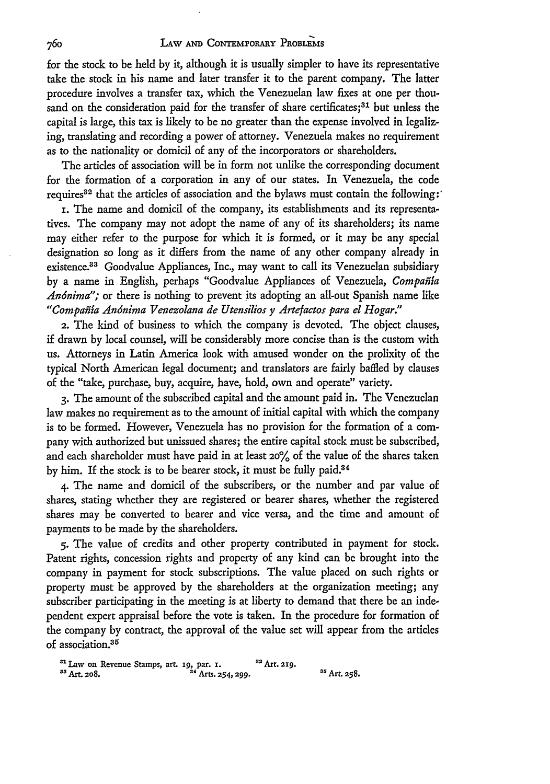### 760 **LAW AND CoNEMPORARY PROBLEMS**

for the stock to be held by it, although it is usually simpler to have its representative take the stock in his name and later transfer it to the parent company. The latter procedure involves a transfer tax, which the Venezuelan law fixes at one per thousand on the consideration paid for the transfer of share certificates; $31$  but unless the capital is large, this tax is likely to be no greater than the expense involved in legalizing, translating and recording a power of attorney. Venezuela makes no requirement as to the nationality or domicil of any of the incorporators or shareholders.

The articles of association will be in form not unlike the corresponding document for the formation of a corporation in any of our states. In Venezuela, the code requires<sup>32</sup> that the articles of association and the bylaws must contain the following:

**i.** The name and domicil of the company, its establishments and its representatives. The company may not adopt the name of any of its shareholders; its name may either refer to the purpose for which it is formed, or it may be any special designation so long as it differs from the name of any other company already in existence.<sup>33</sup> Goodvalue Appliances, Inc., may want to call its Venezuelan subsidiary by a name in English, perhaps "Goodvalue Appliances of Venezuela, Compañía *Andnima";* or there is nothing to prevent its adopting an all-out Spanish name like *"Compagfia An6nima Venezolana de Utensilios y Artefactos para el Hogar."*

2. The kind of business to which the company is devoted. The object clauses, if drawn by local counsel, will be considerably more concise than is the custom with us. Attorneys in Latin America look with amused wonder on the prolixity of the typical North American legal document; and translators are fairly baffled by clauses of the "take, purchase, buy, acquire, have, hold, own and operate" variety.

3. The amount of the subscribed capital and the amount paid in. The Venezuelan law makes no requirement as to the amount of initial capital with which the company is to be formed. However, Venezuela has no provision for the formation of a company with authorized but unissued shares; the entire capital stock must be subscribed, and each shareholder must have paid in at least 20% of the value of the shares taken by him. If the stock is to be bearer stock, it must be fully paid.34

4. The name and domicil of the subscribers, or the number and par value of shares, stating whether they are registered or bearer shares, whether the registered shares may be converted to bearer and vice versa, and the time and amount of payments to be made by the shareholders.

5. The value of credits and other property contributed in payment for stock. Patent rights, concession rights and property of any kind can be brought into the company in payment for stock subscriptions. The value placed on such rights or property must be approved by the shareholders at the organization meeting; any subscriber participating in the meeting is at liberty to demand that there be an independent expert appraisal before the vote is taken. In the procedure for formation of the company by contract, the approval of the value set will appear from the articles of association.<sup>35</sup>

**<sup>&</sup>quot; 1Law on Revenue Stamps,** art. *i9,* **par. z. "** Art. **2o8. "** Arts. **254,299.** '2 Art. **219. "** Art. **258.**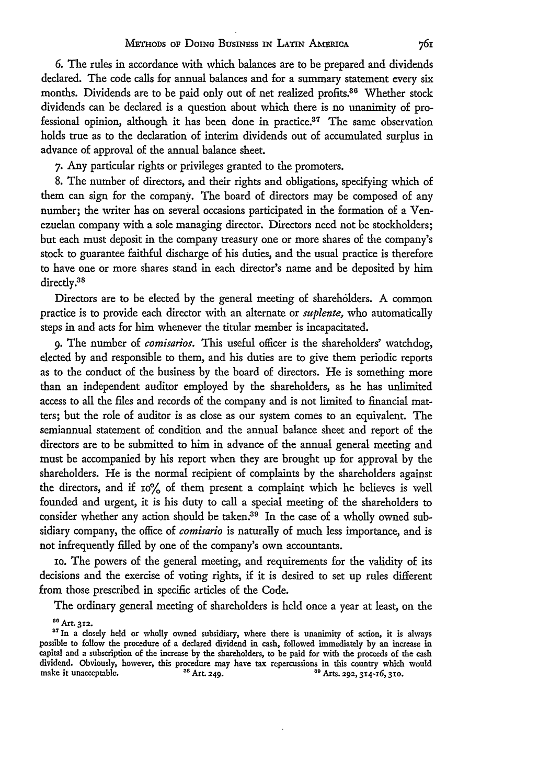**6.** The rules in accordance with which balances are to be prepared and dividends declared. The code calls for annual balances and for a summary statement every six months. Dividends are to be paid only out of net realized profits.<sup>36</sup> Whether stock dividends can be declared is a question about which there is no unanimity of professional opinion, although it has been done in practice. $37$  The same observation holds true as to the declaration of interim dividends out of accumulated surplus in advance of approval of the annual balance sheet.

**7.** Any particular rights or privileges granted to the promoters.

**8.** The number of directors, and their rights and obligations, specifying which of them can sign for the company. The board of directors may be composed of any number; the writer has on several occasions participated in the formation of a Venezuelan company with a sole managing director. Directors need not be stockholders; but each must deposit in the company treasury one or more shares of the company's stock to guarantee faithful discharge of his duties, and the usual practice is therefore to have one or more shares stand in each director's name and be deposited by him directly.38

Directors are to be elected by the general meeting of shareholders. A common practice is to provide each director with an alternate or *suplente,* who automatically steps in and acts for him whenever the titular member is incapacitated.

**9.** The number of *comisarios.* This useful officer is the shareholders' watchdog, elected by and responsible to them, and his duties are to give them periodic reports as to the conduct of the business by the board of directors. He is something more than an independent auditor employed by the shareholders, as he has unlimited access to all the files and records of the company and is not limited to financial matters; but the role of auditor is as close as our system comes to an equivalent. The semiannual statement of condition and the annual balance sheet and report of the directors are to **be** submitted to him in advance of the annual general meeting and must be accompanied by his report when they are brought up for approval by the shareholders. He is the normal recipient of complaints by the shareholders against the directors, and if io% of them present a complaint which he believes is well founded and urgent, it is his duty to call a special meeting of the shareholders to consider whether any action should be taken.<sup>39</sup> In the case of a wholly owned subsidiary company, the office of *comisario* is naturally of much less importance, and is not infrequently filled by one of the company's own accountants.

io. The powers of the general meeting, and requirements for the validity of its decisions and the exercise of voting rights, if it is desired to set up rules different from those prescribed in specific articles of the Code.

The ordinary general meeting of shareholders is held once a year at least, on the

**Art. 312.**

In **a** closely held **or** wholly owned subsidiary, where there **is** unanimity **of action,** it is **always** possible **to follow the** procedure **of a** declared dividend in **cash,** followed immediately **by an** increase in capital **and a** subscription **of** the increase **by** the shareholders, **to** be paid **for** with the proceeds **of** the cash dividend. Obviously, however, this procedure **may** have **tax** repercussions in this country which would make **it** unacceptable. **"** Art. **249. " Arts.** 292, **314-16, 310.**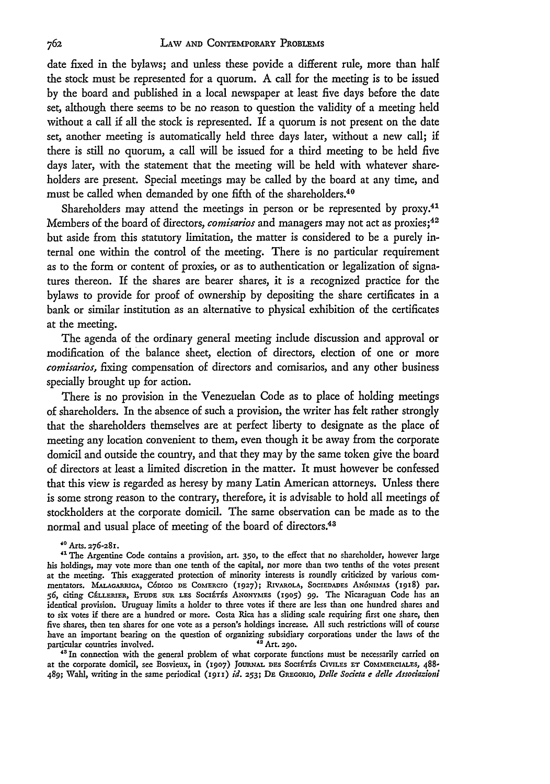date fixed in the bylaws; and unless these povide a different rule, more than half the stock must be represented for a quorum. A call for the meeting is to be issued by the board and published in a local newspaper at least five days before the date set, although there seems to be no reason to question the validity of a meeting held without a call if all the stock is represented. If a quorum is not present on the date set, another meeting is automatically held three days later, without a new call; if there is still no quorum, a call will be issued for a third meeting to be held five days later, with the statement that the meeting will be held with whatever shareholders are present. Special meetings may be called by the board at any time, and must be called when demanded by one fifth of the shareholders.<sup>40</sup>

Shareholders may attend the meetings in person or be represented by proxy.<sup>41</sup> Members of the board of directors, *comisarios* and managers may not act as proxies; <sup>42</sup> but aside from this statutory limitation, the matter is considered to be a purely internal one within the control of the meeting. There is no particular requirement as to the form or content of proxies, or as to authentication or legalization of signatures thereon. If the shares are bearer shares, it is a recognized practice for the bylaws to provide for proof of ownership by depositing the share certificates in a bank or similar institution as an alternative to physical exhibition of the certificates at the meeting.

The agenda of the ordinary general meeting include discussion and approval or modification of the balance sheet, election of directors, election of one or more *comisarios,* fixing compensation of directors and comisarios, and any other business specially brought up for action.

There is no provision in the Venezuelan Code as to place of holding meetings of shareholders. In the absence of such a provision, the writer has felt rather strongly that the shareholders themselves are at perfect liberty to designate as the place of meeting any location convenient to them, even though it be away from the corporate domicil and outside the country, and that they may by the same token give the board of directors at least a limited discretion in the matter. It must however be confessed that this view is regarded as heresy by many Latin American attorneys. Unless there is some strong reason to the contrary, therefore, it is advisable to hold all meetings of stockholders at the corporate domicil. The same observation can be made as to the normal and usual place of meeting of the board of directors.<sup>43</sup>

**'oArts. 276-281.**

<sup>43</sup> In connection with the general problem of what corporate functions must be necessarily carried on at the corporate domicil, see Bosvieux, in (1907) JOURNAL DES SOCIÉTÉS CIVILES ET COMMERCIALES, 488-489; Wahl, writing in the same periodical **(x911)** *id.* **253; DE GREG Rio,** *Delle Sodeta e delle Associazioni*

<sup>&</sup>lt;sup>41</sup> The Argentine Code contains a provision, art. 350, to the effect that no shareholder, however large his holdings, **may** vote more than one tenth **of** the capital, nor more than two tenths **of** the votes present at the meeting. This exaggerated protection **of** minority interests is roundly criticized **by** various commentators. MALAGARRIGA, CÓDIGO DE COMERCIO (1927); RIVAROLA, SOCIEDADES ANÓNIMAS (1918) par. 56, citing CÉLLERIER, ETUDE SUR LES SOCIÉTÉS ANONYMES (1905) 99. The Nicaraguan Code has an identical provision. Uruguay limits a holder to three votes if there are less than one hundred shares and to six votes **if** there are a hundred or more. Costa Rica has a sliding scale requiring first one share, then five shares, then ten shares for one vote as a person's holdings increase. All such restrictions will of course have an important bearing on the question of organizing subsidiary corporations under the laws of the particular countries involved. **" <sup>2</sup>**Art. 290.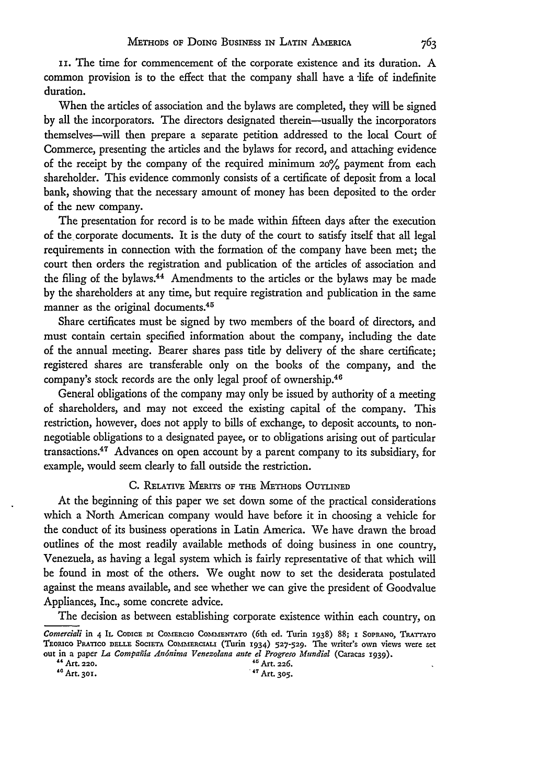**ii.** The time for commencement of the corporate existence and its duration. **A** common provision is to the effect that the company shall have a life of indefinite duration.

When the articles of association and the bylaws are completed, they will be signed by all the incorporators. The directors designated therein-usually the incorporators themselves-will then prepare a separate petition addressed to the local Court of Commerce, presenting the articles and the bylaws for record, and attaching evidence of the receipt by the company of the required minimum 20% payment from each shareholder. This evidence commonly consists of a certificate of deposit from a local bank, showing that the necessary amount of money has been deposited to the order of the new company.

The presentation for record is to be made within fifteen days after the execution of the corporate documents. It is the duty of the court to satisfy itself that all legal requirements in connection with the formation of the company have been met; the court then orders the registration and publication of the articles of association and the filing of the bylaws.44 Amendments to the articles or the bylaws may be made by the shareholders at any time, but require registration and publication in the same manner as the original documents.<sup>45</sup>

Share certificates must be signed by two members of the board of directors, and must contain certain specified information about the company, including the date of the annual meeting. Bearer shares pass title by delivery of the share certificate; registered shares are transferable only on the books of the company, and the company's stock records are the only legal proof of ownership.4

General obligations of the company may only be issued by authority of a meeting of shareholders, and may not exceed the existing capital of the company. This restriction, however, does not apply to bills of exchange, to deposit accounts, to nonnegotiable obligations to a designated payee, or to obligations arising out of particular transactions.<sup>47</sup> Advances on open account by a parent company to its subsidiary, for example, would seem clearly to fall outside the restriction.

## C. RELATIVE MERITs OF **THE METHODS OUTLINED**

At the beginning of this paper we set down some of the practical considerations which a North American company would have before it in choosing a vehicle for the conduct of its business operations in Latin America. We have drawn the broad outlines of the most readily available methods of doing business in one country, Venezuela, as having a legal system which is fairly representative of that which will be found in most of the others. We ought now to set the desiderata postulated against the means available, and see whether we can give the president of Goodvalue Appliances, Inc., some concrete advice.

The decision as between establishing corporate existence within each country, on

*Comerdali* in 4 **IL CODICE DI** COMERCIO COMMENTATO (6th **ed.** Turin **1938) 88;** *i* SOPRANO, **TRATITATO TEoRico** PRAnTco **DELLE SOcIETA ComMERmCAmI** (Turin **1934) 527-529.** The writer's **own** views **were** set out in a **paper** *La Compaina An6nima Venezolana ante el Progreso Mundial* (Caracas 1939). <sup>45</sup> Art. 220. <sup>45</sup> Art. 226. <sup>45</sup> Art. 226. <sup>47</sup> Art. 305.

**<sup>&</sup>quot;Art. 220. " Art. 226.**